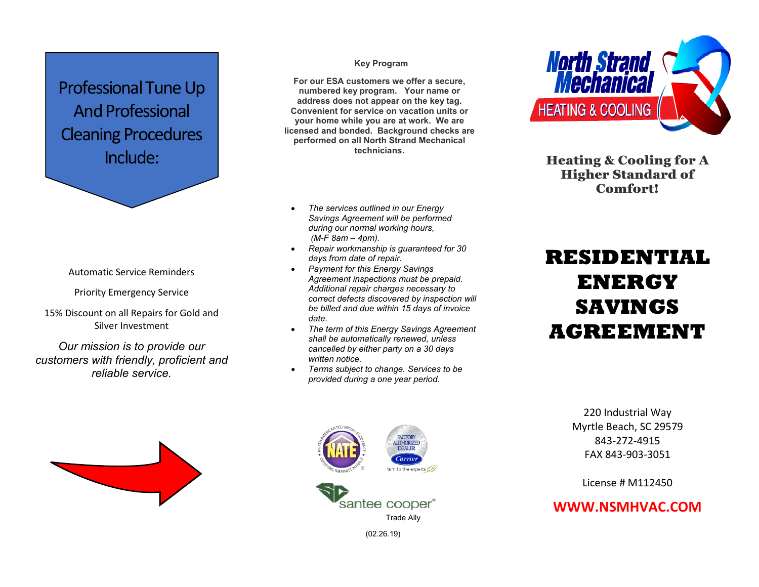## Professional Tune Up And Professional Cleaning Procedures Include:

#### Automatic Service Reminders

Priority Emergency Service

15% Discount on all Repairs for Gold and Silver Investment

*Our mission is to provide our customers with friendly, proficient and reliable service.*

#### **Key Program**

**For our ESA customers we offer a secure, numbered key program. Your name or address does not appear on the key tag. Convenient for service on vacation units or your home while you are at work. We are licensed and bonded. Background checks are performed on all North Strand Mechanical technicians.**

- *The services outlined in our Energy Savings Agreement will be performed during our normal working hours, (M-F 8am – 4pm).*
- *Repair workmanship is guaranteed for 30 days from date of repair.*
- *Payment for this Energy Savings Agreement inspections must be prepaid. Additional repair charges necessary to correct defects discovered by inspection will be billed and due within 15 days of invoice date.*
- *The term of this Energy Savings Agreement shall be automatically renewed, unless cancelled by either party on a 30 days written notice.*
- *Terms subject to change. Services to be provided during a one year period.*



Heating & Cooling for A Higher Standard of Comfort!

# **RESIDENTIAL ENERGY SAVINGS AGREEMENT**







(02.26.19)

220 Industrial Way Myrtle Beach, SC 29579 843-272-4915 FAX 843-903-3051

License # M112450

### **WWW.NSMHVAC.COM**